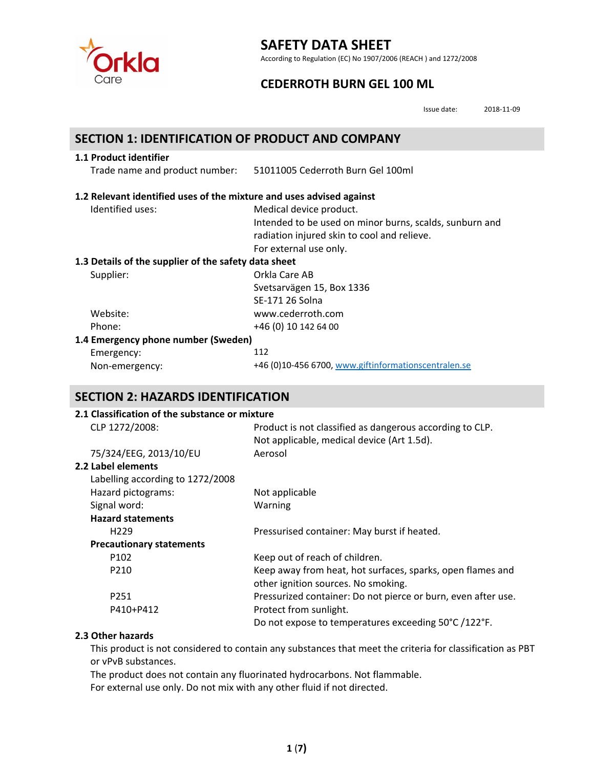

According to Regulation (EC) No 1907/2006 (REACH ) and 1272/2008

## **CEDERROTH BURN GEL 100 ML**

Issue date: 2018‐11‐09

### **SECTION 1: IDENTIFICATION OF PRODUCT AND COMPANY**

#### **1.1 Product identifier**

Trade name and product number: 51011005 Cederroth Burn Gel 100ml

#### **1.2 Relevant identified uses of the mixture and uses advised against**

| Medical device product.                                 |
|---------------------------------------------------------|
| Intended to be used on minor burns, scalds, sunburn and |
| radiation injured skin to cool and relieve.             |
| For external use only.                                  |
| 1.3 Details of the supplier of the safety data sheet    |
| Orkla Care AB                                           |
| Svetsarvägen 15, Box 1336                               |
| SE-171 26 Solna                                         |
| www.cederroth.com                                       |
| +46 (0) 10 142 64 00                                    |
| 1.4 Emergency phone number (Sweden)                     |
| 112                                                     |
| +46 (0)10-456 6700, www.giftinformationscentralen.se    |
|                                                         |

## **SECTION 2: HAZARDS IDENTIFICATION**

#### **2.1 Classification of the substance or mixture**

| ב.ב כומאוווכמנוטוו טו נווכ אמואנמווככ טו וווואנמו כ |                                                               |
|-----------------------------------------------------|---------------------------------------------------------------|
| CLP 1272/2008:                                      | Product is not classified as dangerous according to CLP.      |
|                                                     | Not applicable, medical device (Art 1.5d).                    |
| 75/324/EEG, 2013/10/EU                              | Aerosol                                                       |
| 2.2 Label elements                                  |                                                               |
| Labelling according to 1272/2008                    |                                                               |
| Hazard pictograms:                                  | Not applicable                                                |
| Signal word:                                        | Warning                                                       |
| <b>Hazard statements</b>                            |                                                               |
| H <sub>229</sub>                                    | Pressurised container: May burst if heated.                   |
| <b>Precautionary statements</b>                     |                                                               |
| P <sub>102</sub>                                    | Keep out of reach of children.                                |
| P210                                                | Keep away from heat, hot surfaces, sparks, open flames and    |
|                                                     | other ignition sources. No smoking.                           |
| P251                                                | Pressurized container: Do not pierce or burn, even after use. |
| P410+P412                                           | Protect from sunlight.                                        |
|                                                     | Do not expose to temperatures exceeding 50°C /122°F.          |
|                                                     |                                                               |

#### **2.3 Other hazards**

This product is not considered to contain any substances that meet the criteria for classification as PBT or vPvB substances.

The product does not contain any fluorinated hydrocarbons. Not flammable. For external use only. Do not mix with any other fluid if not directed.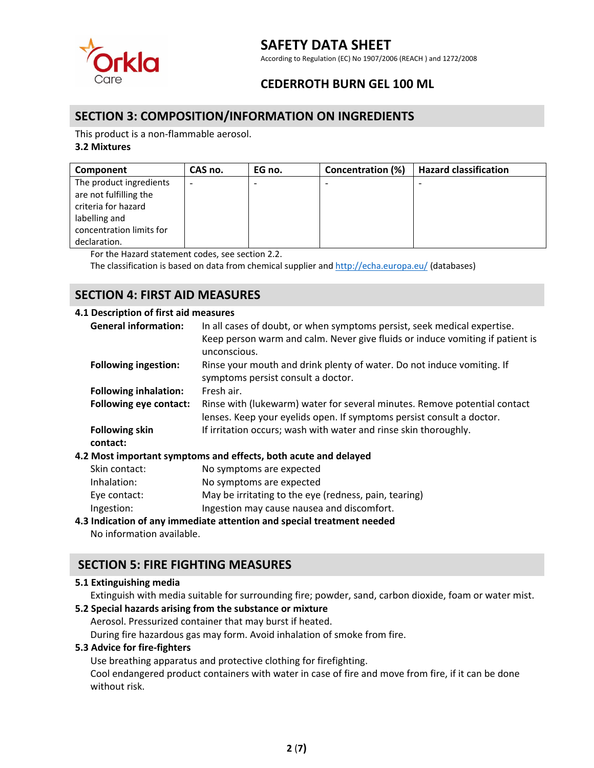

According to Regulation (EC) No 1907/2006 (REACH ) and 1272/2008

## **CEDERROTH BURN GEL 100 ML**

### **SECTION 3: COMPOSITION/INFORMATION ON INGREDIENTS**

This product is a non‐flammable aerosol.

#### **3.2 Mixtures**

| Component                | CAS no.                  | EG no. | <b>Concentration (%)</b> | <b>Hazard classification</b> |
|--------------------------|--------------------------|--------|--------------------------|------------------------------|
| The product ingredients  | $\overline{\phantom{0}}$ |        | $\overline{\phantom{0}}$ | $\overline{\phantom{0}}$     |
| are not fulfilling the   |                          |        |                          |                              |
| criteria for hazard      |                          |        |                          |                              |
| labelling and            |                          |        |                          |                              |
| concentration limits for |                          |        |                          |                              |
| declaration.             |                          |        |                          |                              |

For the Hazard statement codes, see section 2.2.

The classification is based on data from chemical supplier and http://echa.europa.eu/ (databases)

## **SECTION 4: FIRST AID MEASURES**

#### **4.1 Description of first aid measures**

| <b>General information:</b>   | In all cases of doubt, or when symptoms persist, seek medical expertise.      |
|-------------------------------|-------------------------------------------------------------------------------|
|                               | Keep person warm and calm. Never give fluids or induce vomiting if patient is |
|                               | unconscious.                                                                  |
| <b>Following ingestion:</b>   | Rinse your mouth and drink plenty of water. Do not induce vomiting. If        |
|                               | symptoms persist consult a doctor.                                            |
| <b>Following inhalation:</b>  | Fresh air.                                                                    |
| <b>Following eye contact:</b> | Rinse with (lukewarm) water for several minutes. Remove potential contact     |
|                               | lenses. Keep your eyelids open. If symptoms persist consult a doctor.         |
| <b>Following skin</b>         | If irritation occurs; wash with water and rinse skin thoroughly.              |
| contact:                      |                                                                               |
|                               | 4.2 Most important symptoms and effects, both acute and delayed               |
| Skin contact:                 | No symptoms are expected                                                      |
| Inhalation:                   | No symptoms are expected                                                      |
| Eye contact:                  | May be irritating to the eye (redness, pain, tearing)                         |

Ingestion: Ingestion may cause nausea and discomfort.

#### **4.3 Indication of any immediate attention and special treatment needed**

No information available.

## **SECTION 5: FIRE FIGHTING MEASURES**

#### **5.1 Extinguishing media**

Extinguish with media suitable for surrounding fire; powder, sand, carbon dioxide, foam or water mist.

#### **5.2 Special hazards arising from the substance or mixture**

Aerosol. Pressurized container that may burst if heated.

During fire hazardous gas may form. Avoid inhalation of smoke from fire.

#### **5.3 Advice for fire‐fighters**

Use breathing apparatus and protective clothing for firefighting.

Cool endangered product containers with water in case of fire and move from fire, if it can be done without risk.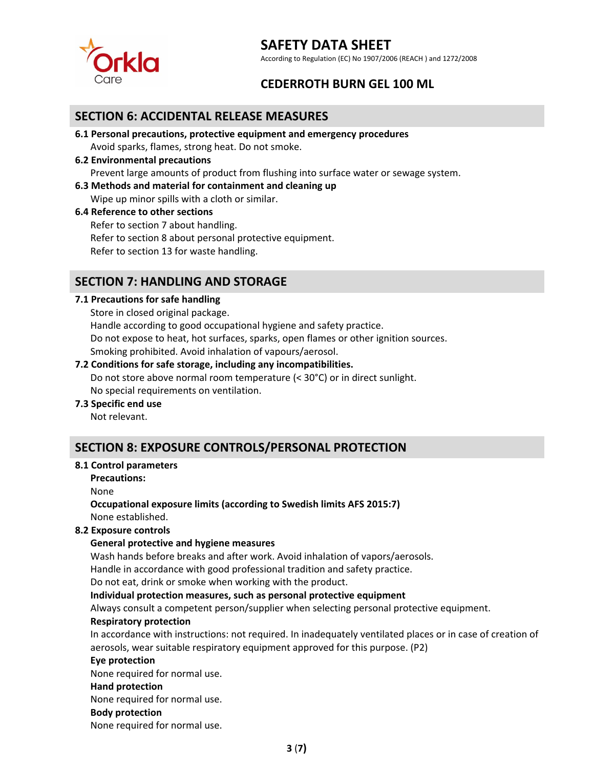

According to Regulation (EC) No 1907/2006 (REACH ) and 1272/2008

## **CEDERROTH BURN GEL 100 ML**

### **SECTION 6: ACCIDENTAL RELEASE MEASURES**

- **6.1 Personal precautions, protective equipment and emergency procedures** Avoid sparks, flames, strong heat. Do not smoke.
- **6.2 Environmental precautions** Prevent large amounts of product from flushing into surface water or sewage system.
- **6.3 Methods and material for containment and cleaning up**

Wipe up minor spills with a cloth or similar.

#### **6.4 Reference to other sections**

Refer to section 7 about handling. Refer to section 8 about personal protective equipment. Refer to section 13 for waste handling.

## **SECTION 7: HANDLING AND STORAGE**

#### **7.1 Precautions for safe handling**

Store in closed original package. Handle according to good occupational hygiene and safety practice. Do not expose to heat, hot surfaces, sparks, open flames or other ignition sources. Smoking prohibited. Avoid inhalation of vapours/aerosol.

## **7.2 Conditions for safe storage, including any incompatibilities.**  Do not store above normal room temperature (< 30°C) or in direct sunlight.

No special requirements on ventilation.

#### **7.3 Specific end use**

Not relevant.

## **SECTION 8: EXPOSURE CONTROLS/PERSONAL PROTECTION**

#### **8.1 Control parameters**

**Precautions:**

None

### **Occupational exposure limits (according to Swedish limits AFS 2015:7)**

None established.

#### **8.2 Exposure controls**

#### **General protective and hygiene measures**

Wash hands before breaks and after work. Avoid inhalation of vapors/aerosols.

Handle in accordance with good professional tradition and safety practice.

Do not eat, drink or smoke when working with the product.

**Individual protection measures, such as personal protective equipment**

Always consult a competent person/supplier when selecting personal protective equipment.

#### **Respiratory protection**

In accordance with instructions: not required. In inadequately ventilated places or in case of creation of aerosols, wear suitable respiratory equipment approved for this purpose. (P2)

#### **Eye protection**

None required for normal use.

#### **Hand protection**

None required for normal use.

#### **Body protection**

None required for normal use.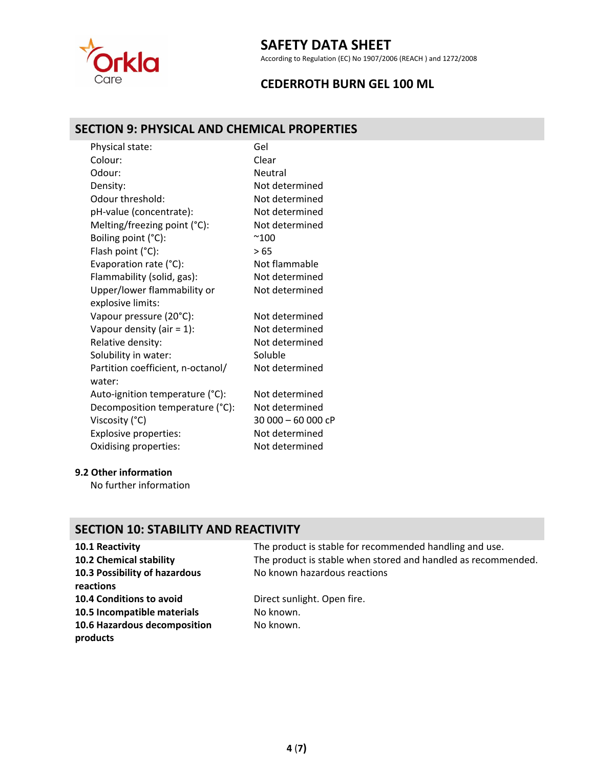

According to Regulation (EC) No 1907/2006 (REACH ) and 1272/2008

## **CEDERROTH BURN GEL 100 ML**

## **SECTION 9: PHYSICAL AND CHEMICAL PROPERTIES**

| Physical state:                   | Gel                |
|-----------------------------------|--------------------|
| Colour:                           | Clear              |
| Odour:                            | Neutral            |
| Density:                          | Not determined     |
| Odour threshold:                  | Not determined     |
| pH-value (concentrate):           | Not determined     |
| Melting/freezing point (°C):      | Not determined     |
| Boiling point (°C):               | $^{\sim}100$       |
| Flash point (°C):                 | > 65               |
| Evaporation rate (°C):            | Not flammable      |
| Flammability (solid, gas):        | Not determined     |
| Upper/lower flammability or       | Not determined     |
| explosive limits:                 |                    |
| Vapour pressure (20°C):           | Not determined     |
| Vapour density (air = $1$ ):      | Not determined     |
| Relative density:                 | Not determined     |
| Solubility in water:              | Soluble            |
| Partition coefficient, n-octanol/ | Not determined     |
| water:                            |                    |
| Auto-ignition temperature (°C):   | Not determined     |
| Decomposition temperature (°C):   | Not determined     |
| Viscosity (°C)                    | 30 000 - 60 000 cP |
| Explosive properties:             | Not determined     |
| Oxidising properties:             | Not determined     |
|                                   |                    |

#### **9.2 Other information**

No further information

### **SECTION 10: STABILITY AND REACTIVITY**

# **10.3 Possibility of hazardous reactions 10.4 Conditions to avoid** Direct sunlight. Open fire. **10.5 Incompatible materials** No known. **10.6 Hazardous decomposition products**

**10.1 Reactivity 10.1 Reactivity 10.1 Reactivity The product is stable for recommended handling and use. 10.2 Chemical stability** The product is stable when stored and handled as recommended. No known hazardous reactions

No known.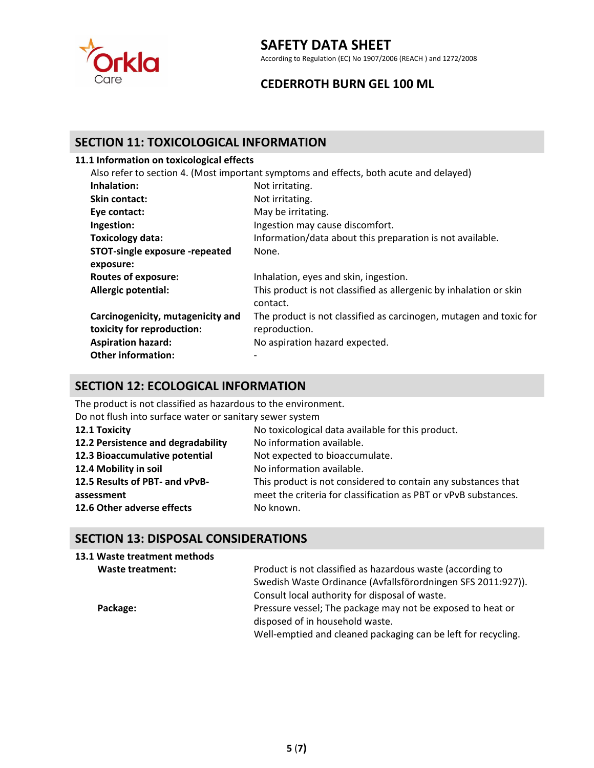

According to Regulation (EC) No 1907/2006 (REACH ) and 1272/2008

## **CEDERROTH BURN GEL 100 ML**

### **SECTION 11: TOXICOLOGICAL INFORMATION**

#### **11.1 Information on toxicological effects**

|             | Also refer to section 4. (Most important symptoms and effects, both acute and delayed) |
|-------------|----------------------------------------------------------------------------------------|
| Inhalation: | Not irritating.                                                                        |

| <b>Skin contact:</b>                  | Not irritating.                                                                |
|---------------------------------------|--------------------------------------------------------------------------------|
| Eye contact:                          | May be irritating.                                                             |
| Ingestion:                            | Ingestion may cause discomfort.                                                |
| Toxicology data:                      | Information/data about this preparation is not available.                      |
| <b>STOT-single exposure -repeated</b> | None.                                                                          |
| exposure:                             |                                                                                |
| <b>Routes of exposure:</b>            | Inhalation, eyes and skin, ingestion.                                          |
| Allergic potential:                   | This product is not classified as allergenic by inhalation or skin<br>contact. |
| Carcinogenicity, mutagenicity and     | The product is not classified as carcinogen, mutagen and toxic for             |
| toxicity for reproduction:            | reproduction.                                                                  |
| <b>Aspiration hazard:</b>             | No aspiration hazard expected.                                                 |
| <b>Other information:</b>             |                                                                                |

## **SECTION 12: ECOLOGICAL INFORMATION**

The product is not classified as hazardous to the environment.

Do not flush into surface water or sanitary sewer system

| 12.1 Toxicity                      | No toxicological data available for this product.               |
|------------------------------------|-----------------------------------------------------------------|
| 12.2 Persistence and degradability | No information available.                                       |
| 12.3 Bioaccumulative potential     | Not expected to bioaccumulate.                                  |
| 12.4 Mobility in soil              | No information available.                                       |
| 12.5 Results of PBT- and vPvB-     | This product is not considered to contain any substances that   |
| assessment                         | meet the criteria for classification as PBT or vPvB substances. |
| 12.6 Other adverse effects         | No known.                                                       |

## **SECTION 13: DISPOSAL CONSIDERATIONS**

| 13.1 Waste treatment methods |                                                               |
|------------------------------|---------------------------------------------------------------|
| Waste treatment:             | Product is not classified as hazardous waste (according to    |
|                              | Swedish Waste Ordinance (Avfallsförordningen SFS 2011:927)).  |
|                              | Consult local authority for disposal of waste.                |
| Package:                     | Pressure vessel; The package may not be exposed to heat or    |
|                              | disposed of in household waste.                               |
|                              | Well-emptied and cleaned packaging can be left for recycling. |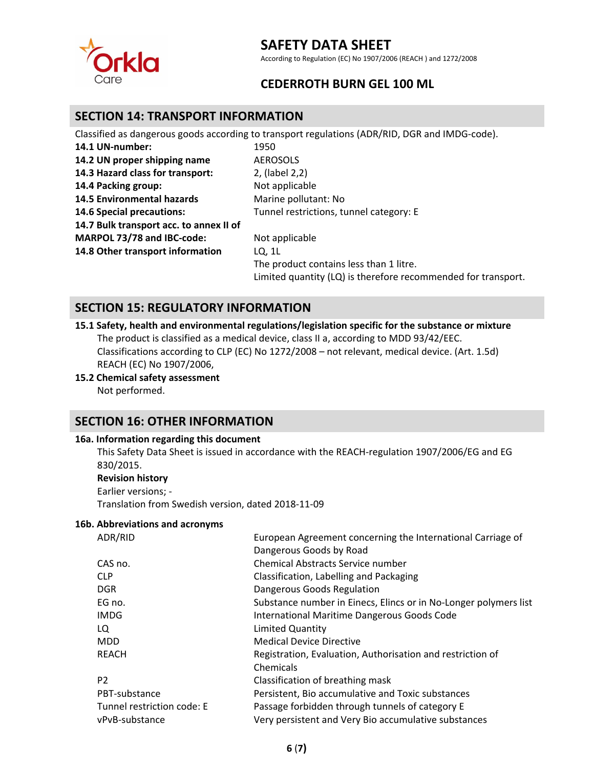

According to Regulation (EC) No 1907/2006 (REACH ) and 1272/2008

## **CEDERROTH BURN GEL 100 ML**

### **SECTION 14: TRANSPORT INFORMATION**

Classified as dangerous goods according to transport regulations (ADR/RID, DGR and IMDG‐code).

| 1950                                                          |
|---------------------------------------------------------------|
| <b>AEROSOLS</b>                                               |
| 2, (label 2,2)                                                |
| Not applicable                                                |
| Marine pollutant: No                                          |
| Tunnel restrictions, tunnel category: E                       |
|                                                               |
| Not applicable                                                |
| LQ. 1L                                                        |
| The product contains less than 1 litre.                       |
| Limited quantity (LQ) is therefore recommended for transport. |
|                                                               |

### **SECTION 15: REGULATORY INFORMATION**

**15.1 Safety, health and environmental regulations/legislation specific for the substance or mixture** The product is classified as a medical device, class II a, according to MDD 93/42/EEC. Classifications according to CLP (EC) No 1272/2008 – not relevant, medical device. (Art. 1.5d) REACH (EC) No 1907/2006,

## **15.2 Chemical safety assessment**

Not performed.

### **SECTION 16: OTHER INFORMATION**

#### **16a. Information regarding this document**

This Safety Data Sheet is issued in accordance with the REACH-regulation 1907/2006/EG and EG 830/2015.

#### **Revision history**

Earlier versions; ‐

Translation from Swedish version, dated 2018‐11‐09

#### **16b. Abbreviations and acronyms**

| ADR/RID                    | European Agreement concerning the International Carriage of      |
|----------------------------|------------------------------------------------------------------|
|                            | Dangerous Goods by Road                                          |
| CAS no.                    | Chemical Abstracts Service number                                |
| <b>CLP</b>                 | Classification, Labelling and Packaging                          |
| <b>DGR</b>                 | Dangerous Goods Regulation                                       |
| EG no.                     | Substance number in Einecs, Elincs or in No-Longer polymers list |
| <b>IMDG</b>                | International Maritime Dangerous Goods Code                      |
| LQ                         | <b>Limited Quantity</b>                                          |
| <b>MDD</b>                 | <b>Medical Device Directive</b>                                  |
| REACH                      | Registration, Evaluation, Authorisation and restriction of       |
|                            | Chemicals                                                        |
| P <sub>2</sub>             | Classification of breathing mask                                 |
| PBT-substance              | Persistent, Bio accumulative and Toxic substances                |
| Tunnel restriction code: E | Passage forbidden through tunnels of category E                  |
| vPvB-substance             | Very persistent and Very Bio accumulative substances             |